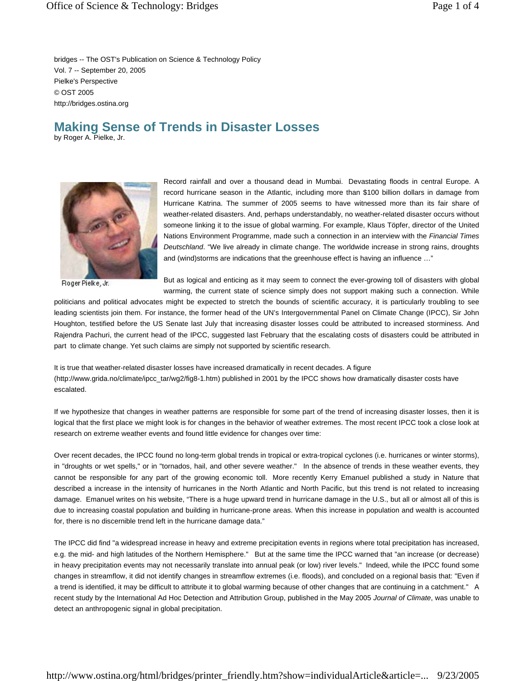bridges -- The OST's Publication on Science & Technology Policy Vol. 7 -- September 20, 2005 Pielke's Perspective © OST 2005 http://bridges.ostina.org

## **Making Sense of Trends in Disaster Losses**

by Roger A. Pielke, Jr.



Roger Pielke, Jr.

Record rainfall and over a thousand dead in Mumbai. Devastating floods in central Europe. A record hurricane season in the Atlantic, including more than \$100 billion dollars in damage from Hurricane Katrina. The summer of 2005 seems to have witnessed more than its fair share of weather-related disasters. And, perhaps understandably, no weather-related disaster occurs without someone linking it to the issue of global warming. For example, Klaus Töpfer, director of the United Nations Environment Programme, made such a connection in an interview with the *Financial Times Deutschland*. "We live already in climate change. The worldwide increase in strong rains, droughts and (wind)storms are indications that the greenhouse effect is having an influence …"

But as logical and enticing as it may seem to connect the ever-growing toll of disasters with global warming, the current state of science simply does not support making such a connection. While

politicians and political advocates might be expected to stretch the bounds of scientific accuracy, it is particularly troubling to see leading scientists join them. For instance, the former head of the UN's Intergovernmental Panel on Climate Change (IPCC), Sir John Houghton, testified before the US Senate last July that increasing disaster losses could be attributed to increased storminess. And Rajendra Pachuri, the current head of the IPCC, suggested last February that the escalating costs of disasters could be attributed in part to climate change. Yet such claims are simply not supported by scientific research.

It is true that weather-related disaster losses have increased dramatically in recent decades. A figure (http://www.grida.no/climate/ipcc\_tar/wg2/fig8-1.htm) published in 2001 by the IPCC shows how dramatically disaster costs have escalated.

If we hypothesize that changes in weather patterns are responsible for some part of the trend of increasing disaster losses, then it is logical that the first place we might look is for changes in the behavior of weather extremes. The most recent IPCC took a close look at research on extreme weather events and found little evidence for changes over time:

Over recent decades, the IPCC found no long-term global trends in tropical or extra-tropical cyclones (i.e. hurricanes or winter storms), in "droughts or wet spells," or in "tornados, hail, and other severe weather." In the absence of trends in these weather events, they cannot be responsible for any part of the growing economic toll. More recently Kerry Emanuel published a study in Nature that described a increase in the intensity of hurricanes in the North Atlantic and North Pacific, but this trend is not related to increasing damage. Emanuel writes on his website, "There is a huge upward trend in hurricane damage in the U.S., but all or almost all of this is due to increasing coastal population and building in hurricane-prone areas. When this increase in population and wealth is accounted for, there is no discernible trend left in the hurricane damage data."

The IPCC did find "a widespread increase in heavy and extreme precipitation events in regions where total precipitation has increased, e.g. the mid- and high latitudes of the Northern Hemisphere." But at the same time the IPCC warned that "an increase (or decrease) in heavy precipitation events may not necessarily translate into annual peak (or low) river levels." Indeed, while the IPCC found some changes in streamflow, it did not identify changes in streamflow extremes (i.e. floods), and concluded on a regional basis that: "Even if a trend is identified, it may be difficult to attribute it to global warming because of other changes that are continuing in a catchment." A recent study by the International Ad Hoc Detection and Attribution Group, published in the May 2005 *Journal of Climate*, was unable to detect an anthropogenic signal in global precipitation.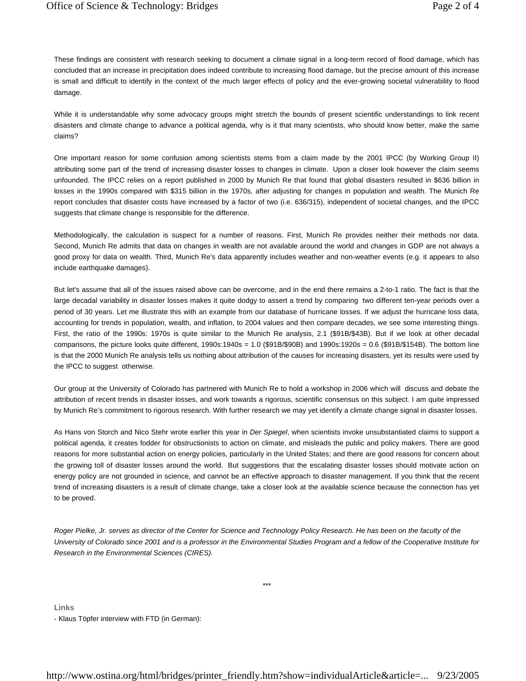These findings are consistent with research seeking to document a climate signal in a long-term record of flood damage, which has concluded that an increase in precipitation does indeed contribute to increasing flood damage, but the precise amount of this increase is small and difficult to identify in the context of the much larger effects of policy and the ever-growing societal vulnerability to flood damage.

While it is understandable why some advocacy groups might stretch the bounds of present scientific understandings to link recent disasters and climate change to advance a political agenda, why is it that many scientists, who should know better, make the same claims?

One important reason for some confusion among scientists stems from a claim made by the 2001 IPCC (by Working Group II) attributing some part of the trend of increasing disaster losses to changes in climate. Upon a closer look however the claim seems unfounded. The IPCC relies on a report published in 2000 by Munich Re that found that global disasters resulted in \$636 billion in losses in the 1990s compared with \$315 billion in the 1970s, after adjusting for changes in population and wealth. The Munich Re report concludes that disaster costs have increased by a factor of two (i.e. 636/315), independent of societal changes, and the IPCC suggests that climate change is responsible for the difference.

Methodologically, the calculation is suspect for a number of reasons. First, Munich Re provides neither their methods nor data. Second, Munich Re admits that data on changes in wealth are not available around the world and changes in GDP are not always a good proxy for data on wealth. Third, Munich Re's data apparently includes weather and non-weather events (e.g. it appears to also include earthquake damages).

But let's assume that all of the issues raised above can be overcome, and in the end there remains a 2-to-1 ratio. The fact is that the large decadal variability in disaster losses makes it quite dodgy to assert a trend by comparing two different ten-year periods over a period of 30 years. Let me illustrate this with an example from our database of hurricane losses. If we adjust the hurricane loss data, accounting for trends in population, wealth, and inflation, to 2004 values and then compare decades, we see some interesting things. First, the ratio of the 1990s: 1970s is quite similar to the Munich Re analysis, 2.1 (\$91B/\$43B). But if we look at other decadal comparisons, the picture looks quite different, 1990s:1940s = 1.0 (\$91B/\$90B) and 1990s:1920s = 0.6 (\$91B/\$154B). The bottom line is that the 2000 Munich Re analysis tells us nothing about attribution of the causes for increasing disasters, yet its results were used by the IPCC to suggest otherwise.

Our group at the University of Colorado has partnered with Munich Re to hold a workshop in 2006 which will discuss and debate the attribution of recent trends in disaster losses, and work towards a rigorous, scientific consensus on this subject. I am quite impressed by Munich Re's commitment to rigorous research. With further research we may yet identify a climate change signal in disaster losses.

As Hans von Storch and Nico Stehr wrote earlier this year in *Der Spiegel*, when scientists invoke unsubstantiated claims to support a political agenda, it creates fodder for obstructionists to action on climate, and misleads the public and policy makers. There are good reasons for more substantial action on energy policies, particularly in the United States; and there are good reasons for concern about the growing toll of disaster losses around the world. But suggestions that the escalating disaster losses should motivate action on energy policy are not grounded in science, and cannot be an effective approach to disaster management. If you think that the recent trend of increasing disasters is a result of climate change, take a closer look at the available science because the connection has yet to be proved.

*Roger Pielke, Jr. serves as director of the Center for Science and Technology Policy Research. He has been on the faculty of the University of Colorado since 2001 and is a professor in the Environmental Studies Program and a fellow of the Cooperative Institute for Research in the Environmental Sciences (CIRES).*